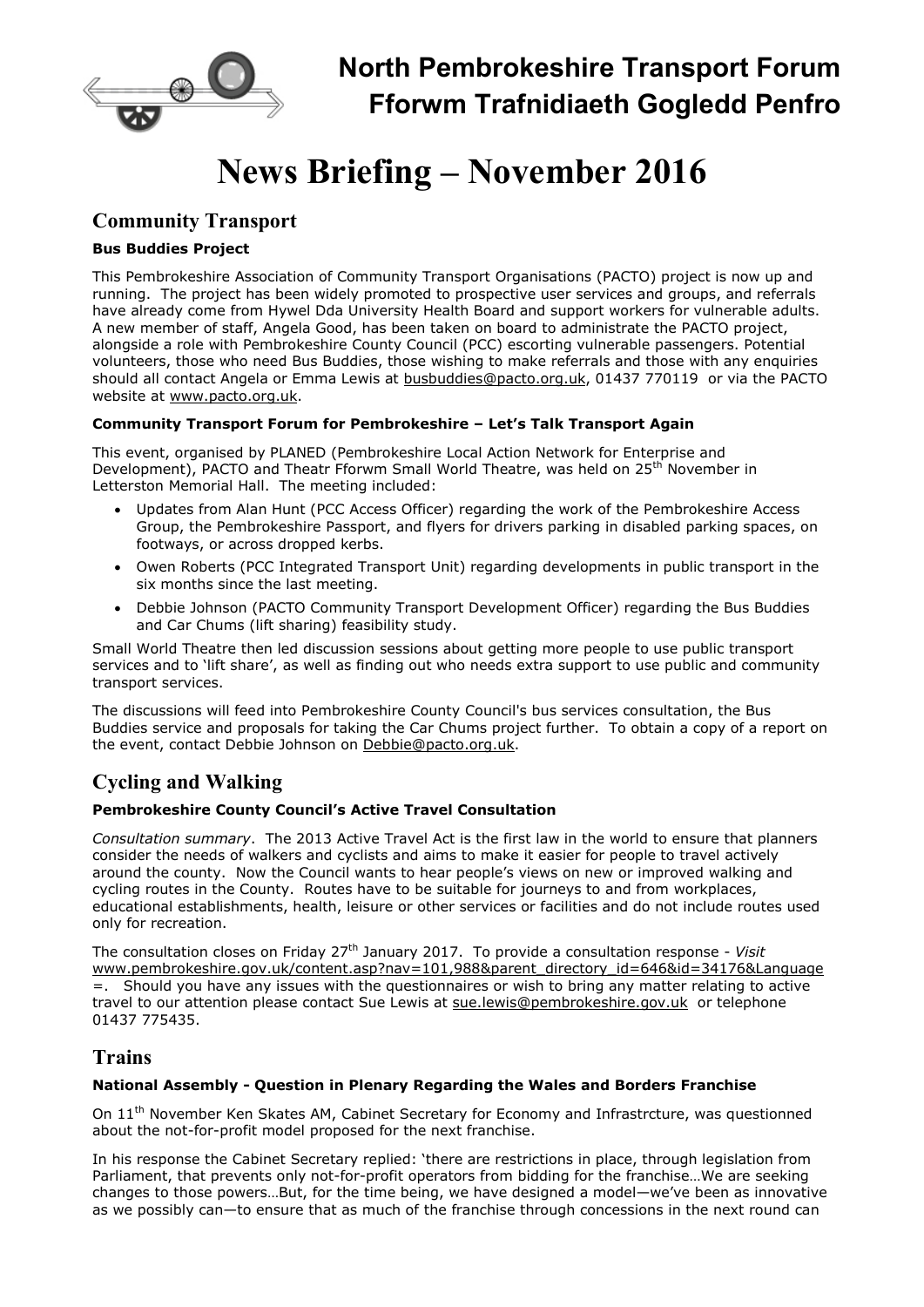

# News Briefing – November 2016

## Community Transport

#### Bus Buddies Project

This Pembrokeshire Association of Community Transport Organisations (PACTO) project is now up and running. The project has been widely promoted to prospective user services and groups, and referrals have already come from Hywel Dda University Health Board and support workers for vulnerable adults. A new member of staff, Angela Good, has been taken on board to administrate the PACTO project, alongside a role with Pembrokeshire County Council (PCC) escorting vulnerable passengers. Potential volunteers, those who need Bus Buddies, those wishing to make referrals and those with any enquiries should all contact Angela or Emma Lewis at busbuddies@pacto.org.uk, 01437 770119 or via the PACTO website at www.pacto.org.uk.

#### Community Transport Forum for Pembrokeshire – Let's Talk Transport Again

This event, organised by PLANED (Pembrokeshire Local Action Network for Enterprise and Development), PACTO and Theatr Fforwm Small World Theatre, was held on 25<sup>th</sup> November in Letterston Memorial Hall. The meeting included:

- Updates from Alan Hunt (PCC Access Officer) regarding the work of the Pembrokeshire Access Group, the Pembrokeshire Passport, and flyers for drivers parking in disabled parking spaces, on footways, or across dropped kerbs.
- Owen Roberts (PCC Integrated Transport Unit) regarding developments in public transport in the six months since the last meeting.
- Debbie Johnson (PACTO Community Transport Development Officer) regarding the Bus Buddies and Car Chums (lift sharing) feasibility study.

Small World Theatre then led discussion sessions about getting more people to use public transport services and to 'lift share', as well as finding out who needs extra support to use public and community transport services.

The discussions will feed into Pembrokeshire County Council's bus services consultation, the Bus Buddies service and proposals for taking the Car Chums project further. To obtain a copy of a report on the event, contact Debbie Johnson on Debbie@pacto.org.uk.

# Cycling and Walking

#### Pembrokeshire County Council's Active Travel Consultation

Consultation summary. The 2013 Active Travel Act is the first law in the world to ensure that planners consider the needs of walkers and cyclists and aims to make it easier for people to travel actively around the county. Now the Council wants to hear people's views on new or improved walking and cycling routes in the County. Routes have to be suitable for journeys to and from workplaces, educational establishments, health, leisure or other services or facilities and do not include routes used only for recreation.

The consultation closes on Friday 27<sup>th</sup> January 2017. To provide a consultation response - Visit www.pembrokeshire.gov.uk/content.asp?nav=101,988&parent\_directory\_id=646&id=34176&Language =. Should you have any issues with the questionnaires or wish to bring any matter relating to active travel to our attention please contact Sue Lewis at sue.lewis@pembrokeshire.gov.uk or telephone 01437 775435.

## Trains

#### National Assembly - Question in Plenary Regarding the Wales and Borders Franchise

On 11<sup>th</sup> November Ken Skates AM, Cabinet Secretary for Economy and Infrastrcture, was questionned about the not-for-profit model proposed for the next franchise.

In his response the Cabinet Secretary replied: 'there are restrictions in place, through legislation from Parliament, that prevents only not-for-profit operators from bidding for the franchise…We are seeking changes to those powers…But, for the time being, we have designed a model—we've been as innovative as we possibly can—to ensure that as much of the franchise through concessions in the next round can